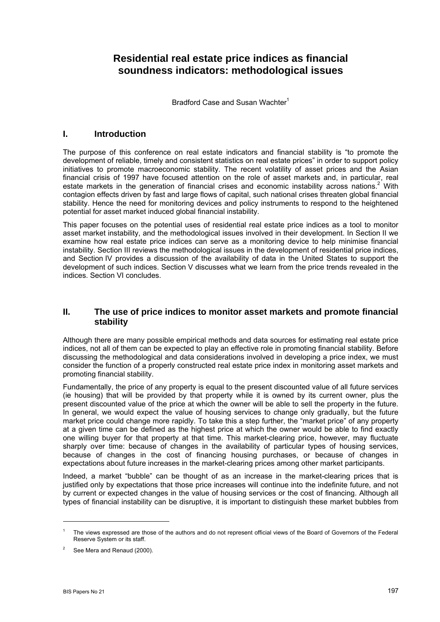# **Residential real estate price indices as financial soundness indicators: methodological issues**

Bradford Case and Susan Wachter<sup>1</sup>

### **I. Introduction**

The purpose of this conference on real estate indicators and financial stability is "to promote the development of reliable, timely and consistent statistics on real estate prices" in order to support policy initiatives to promote macroeconomic stability. The recent volatility of asset prices and the Asian financial crisis of 1997 have focused attention on the role of asset markets and, in particular, real estate markets in the generation of financial crises and economic instability across nations.<sup>2</sup> With contagion effects driven by fast and large flows of capital, such national crises threaten global financial stability. Hence the need for monitoring devices and policy instruments to respond to the heightened potential for asset market induced global financial instability.

This paper focuses on the potential uses of residential real estate price indices as a tool to monitor asset market instability, and the methodological issues involved in their development. In Section II we examine how real estate price indices can serve as a monitoring device to help minimise financial instability. Section III reviews the methodological issues in the development of residential price indices, and Section IV provides a discussion of the availability of data in the United States to support the development of such indices. Section V discusses what we learn from the price trends revealed in the indices. Section VI concludes.

#### **II. The use of price indices to monitor asset markets and promote financial stability**

Although there are many possible empirical methods and data sources for estimating real estate price indices, not all of them can be expected to play an effective role in promoting financial stability. Before discussing the methodological and data considerations involved in developing a price index, we must consider the function of a properly constructed real estate price index in monitoring asset markets and promoting financial stability.

Fundamentally, the price of any property is equal to the present discounted value of all future services (ie housing) that will be provided by that property while it is owned by its current owner, plus the present discounted value of the price at which the owner will be able to sell the property in the future. In general, we would expect the value of housing services to change only gradually, but the future market price could change more rapidly. To take this a step further, the "market price" of any property at a given time can be defined as the highest price at which the owner would be able to find exactly one willing buyer for that property at that time. This market-clearing price, however, may fluctuate sharply over time: because of changes in the availability of particular types of housing services, because of changes in the cost of financing housing purchases, or because of changes in expectations about future increases in the market-clearing prices among other market participants.

Indeed, a market "bubble" can be thought of as an increase in the market-clearing prices that is justified only by expectations that those price increases will continue into the indefinite future, and not by current or expected changes in the value of housing services or the cost of financing. Although all types of financial instability can be disruptive, it is important to distinguish these market bubbles from

 $\overline{a}$ 

<sup>1</sup> The views expressed are those of the authors and do not represent official views of the Board of Governors of the Federal Reserve System or its staff.

 $\overline{2}$ See Mera and Renaud (2000).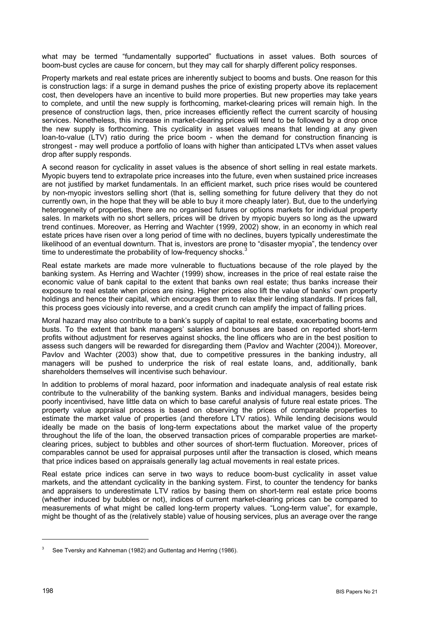what may be termed "fundamentally supported" fluctuations in asset values. Both sources of boom-bust cycles are cause for concern, but they may call for sharply different policy responses.

Property markets and real estate prices are inherently subject to booms and busts. One reason for this is construction lags: if a surge in demand pushes the price of existing property above its replacement cost, then developers have an incentive to build more properties. But new properties may take years to complete, and until the new supply is forthcoming, market-clearing prices will remain high. In the presence of construction lags, then, price increases efficiently reflect the current scarcity of housing services. Nonetheless, this increase in market-clearing prices will tend to be followed by a drop once the new supply is forthcoming. This cyclicality in asset values means that lending at any given loan-to-value (LTV) ratio during the price boom - when the demand for construction financing is strongest - may well produce a portfolio of loans with higher than anticipated LTVs when asset values drop after supply responds.

A second reason for cyclicality in asset values is the absence of short selling in real estate markets. Myopic buyers tend to extrapolate price increases into the future, even when sustained price increases are not justified by market fundamentals. In an efficient market, such price rises would be countered by non-myopic investors selling short (that is, selling something for future delivery that they do not currently own, in the hope that they will be able to buy it more cheaply later). But, due to the underlying heterogeneity of properties, there are no organised futures or options markets for individual property sales. In markets with no short sellers, prices will be driven by myopic buyers so long as the upward trend continues. Moreover, as Herring and Wachter (1999, 2002) show, in an economy in which real estate prices have risen over a long period of time with no declines, buyers typically underestimate the likelihood of an eventual downturn. That is, investors are prone to "disaster myopia", the tendency over time to underestimate the probability of low-frequency shocks.<sup>3</sup>

Real estate markets are made more vulnerable to fluctuations because of the role played by the banking system. As Herring and Wachter (1999) show, increases in the price of real estate raise the economic value of bank capital to the extent that banks own real estate; thus banks increase their exposure to real estate when prices are rising. Higher prices also lift the value of banks' own property holdings and hence their capital, which encourages them to relax their lending standards. If prices fall, this process goes viciously into reverse, and a credit crunch can amplify the impact of falling prices.

Moral hazard may also contribute to a bank's supply of capital to real estate, exacerbating booms and busts. To the extent that bank managers' salaries and bonuses are based on reported short-term profits without adjustment for reserves against shocks, the line officers who are in the best position to assess such dangers will be rewarded for disregarding them (Pavlov and Wachter (2004)). Moreover, Pavlov and Wachter (2003) show that, due to competitive pressures in the banking industry, all managers will be pushed to underprice the risk of real estate loans, and, additionally, bank shareholders themselves will incentivise such behaviour.

In addition to problems of moral hazard, poor information and inadequate analysis of real estate risk contribute to the vulnerability of the banking system. Banks and individual managers, besides being poorly incentivised, have little data on which to base careful analysis of future real estate prices. The property value appraisal process is based on observing the prices of comparable properties to estimate the market value of properties (and therefore LTV ratios). While lending decisions would ideally be made on the basis of long-term expectations about the market value of the property throughout the life of the loan, the observed transaction prices of comparable properties are marketclearing prices, subject to bubbles and other sources of short-term fluctuation. Moreover, prices of comparables cannot be used for appraisal purposes until after the transaction is closed, which means that price indices based on appraisals generally lag actual movements in real estate prices.

Real estate price indices can serve in two ways to reduce boom-bust cyclicality in asset value markets, and the attendant cyclicality in the banking system. First, to counter the tendency for banks and appraisers to underestimate LTV ratios by basing them on short-term real estate price booms (whether induced by bubbles or not), indices of current market-clearing prices can be compared to measurements of what might be called long-term property values. "Long-term value", for example, might be thought of as the (relatively stable) value of housing services, plus an average over the range

<sup>3</sup> See Tversky and Kahneman (1982) and Guttentag and Herring (1986).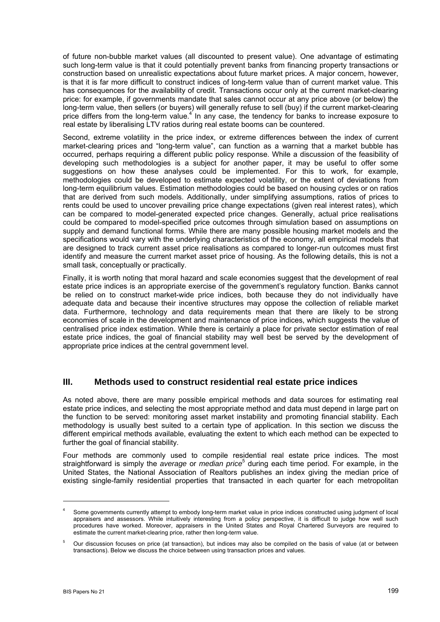of future non-bubble market values (all discounted to present value). One advantage of estimating such long-term value is that it could potentially prevent banks from financing property transactions or construction based on unrealistic expectations about future market prices. A major concern, however, is that it is far more difficult to construct indices of long-term value than of current market value. This has consequences for the availability of credit. Transactions occur only at the current market-clearing price: for example, if governments mandate that sales cannot occur at any price above (or below) the long-term value, then sellers (or buyers) will generally refuse to sell (buy) if the current market-clearing price differs from the long-term value.<sup>4</sup> In any case, the tendency for banks to increase exposure to real estate by liberalising LTV ratios during real estate booms can be countered.

Second, extreme volatility in the price index, or extreme differences between the index of current market-clearing prices and "long-term value", can function as a warning that a market bubble has occurred, perhaps requiring a different public policy response. While a discussion of the feasibility of developing such methodologies is a subject for another paper, it may be useful to offer some suggestions on how these analyses could be implemented. For this to work, for example, methodologies could be developed to estimate expected volatility, or the extent of deviations from long-term equilibrium values. Estimation methodologies could be based on housing cycles or on ratios that are derived from such models. Additionally, under simplifying assumptions, ratios of prices to rents could be used to uncover prevailing price change expectations (given real interest rates), which can be compared to model-generated expected price changes. Generally, actual price realisations could be compared to model-specified price outcomes through simulation based on assumptions on supply and demand functional forms. While there are many possible housing market models and the specifications would vary with the underlying characteristics of the economy, all empirical models that are designed to track current asset price realisations as compared to longer-run outcomes must first identify and measure the current market asset price of housing. As the following details, this is not a small task, conceptually or practically.

Finally, it is worth noting that moral hazard and scale economies suggest that the development of real estate price indices is an appropriate exercise of the government's regulatory function. Banks cannot be relied on to construct market-wide price indices, both because they do not individually have adequate data and because their incentive structures may oppose the collection of reliable market data. Furthermore, technology and data requirements mean that there are likely to be strong economies of scale in the development and maintenance of price indices, which suggests the value of centralised price index estimation. While there is certainly a place for private sector estimation of real estate price indices, the goal of financial stability may well best be served by the development of appropriate price indices at the central government level.

#### **III. Methods used to construct residential real estate price indices**

As noted above, there are many possible empirical methods and data sources for estimating real estate price indices, and selecting the most appropriate method and data must depend in large part on the function to be served: monitoring asset market instability and promoting financial stability. Each methodology is usually best suited to a certain type of application. In this section we discuss the different empirical methods available, evaluating the extent to which each method can be expected to further the goal of financial stability.

Four methods are commonly used to compile residential real estate price indices. The most straightforward is simply the *average* or *median price*<sup>5</sup> during each time period. For example, in the United States, the National Association of Realtors publishes an index giving the median price of existing single-family residential properties that transacted in each quarter for each metropolitan

<sup>4</sup> Some governments currently attempt to embody long-term market value in price indices constructed using judgment of local appraisers and assessors. While intuitively interesting from a policy perspective, it is difficult to judge how well such procedures have worked. Moreover, appraisers in the United States and Royal Chartered Surveyors are required to estimate the current market-clearing price, rather then long-term value.

<sup>5</sup> Our discussion focuses on price (at transaction), but indices may also be compiled on the basis of value (at or between transactions). Below we discuss the choice between using transaction prices and values.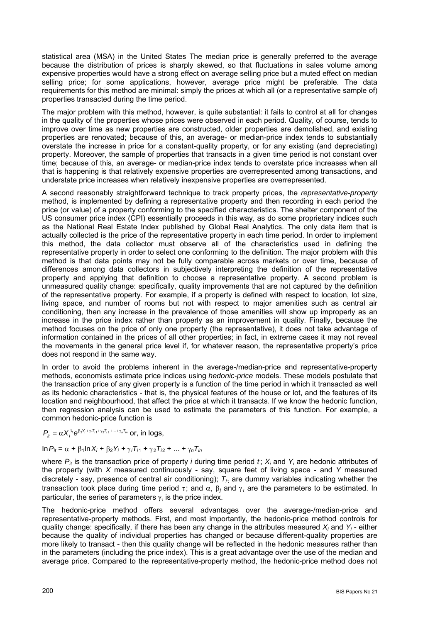statistical area (MSA) in the United States The median price is generally preferred to the average because the distribution of prices is sharply skewed, so that fluctuations in sales volume among expensive properties would have a strong effect on average selling price but a muted effect on median selling price; for some applications, however, average price might be preferable. The data requirements for this method are minimal: simply the prices at which all (or a representative sample of) properties transacted during the time period.

The major problem with this method, however, is quite substantial: it fails to control at all for changes in the quality of the properties whose prices were observed in each period. Quality, of course, tends to improve over time as new properties are constructed, older properties are demolished, and existing properties are renovated; because of this, an average- or median-price index tends to substantially overstate the increase in price for a constant-quality property, or for any existing (and depreciating) property. Moreover, the sample of properties that transacts in a given time period is not constant over time; because of this, an average- or median-price index tends to overstate price increases when all that is happening is that relatively expensive properties are overrepresented among transactions, and understate price increases when relatively inexpensive properties are overrepresented.

A second reasonably straightforward technique to track property prices, the *representative-property* method, is implemented by defining a representative property and then recording in each period the price (or value) of a property conforming to the specified characteristics. The shelter component of the US consumer price index (CPI) essentially proceeds in this way, as do some proprietary indices such as the National Real Estate Index published by Global Real Analytics. The only data item that is actually collected is the price of the representative property in each time period. In order to implement this method, the data collector must observe all of the characteristics used in defining the representative property in order to select one conforming to the definition. The major problem with this method is that data points may not be fully comparable across markets or over time, because of differences among data collectors in subjectively interpreting the definition of the representative property and applying that definition to choose a representative property. A second problem is unmeasured quality change: specifically, quality improvements that are not captured by the definition of the representative property. For example, if a property is defined with respect to location, lot size, living space, and number of rooms but not with respect to major amenities such as central air conditioning, then any increase in the prevalence of those amenities will show up improperly as an increase in the price index rather than properly as an improvement in quality. Finally, because the method focuses on the price of only one property (the representative), it does not take advantage of information contained in the prices of all other properties; in fact, in extreme cases it may not reveal the movements in the general price level if, for whatever reason, the representative property's price does not respond in the same way.

In order to avoid the problems inherent in the average-/median-price and representative-property methods, economists estimate price indices using *hedonic-price* models. These models postulate that the transaction price of any given property is a function of the time period in which it transacted as well as its hedonic characteristics - that is, the physical features of the house or lot, and the features of its location and neighbourhood, that affect the price at which it transacts. If we know the hedonic function, then regression analysis can be used to estimate the parameters of this function. For example, a common hedonic-price function is

 $P_{\mu} = \alpha X_i^{\beta_1} e^{\beta_2 Y_i + \gamma_1 T_{i1} + \gamma_2 T_{i2} + \dots + \gamma_n T_{in}}$  or, in logs,

In  $P_{it} = \alpha + \beta_1 \ln X_i + \beta_2 Y_i + \gamma_i T_{i1} + \gamma_2 T_{i2} + ... + \gamma_n T_{in}$ 

where  $P_{it}$  is the transaction price of property *i* during time period *t*;  $X_i$  and  $Y_i$  are hedonic attributes of the property (with *X* measured continuously - say, square feet of living space - and *Y* measured discretely - say, presence of central air conditioning);  $T_{i<sub>z</sub>}$  are dummy variables indicating whether the transaction took place during time period τ; and  $\alpha$ ,  $\beta_j$  and  $\gamma_\tau$  are the parameters to be estimated. In particular, the series of parameters  $\gamma_{\tau}$  is the price index.

The hedonic-price method offers several advantages over the average-/median-price and representative-property methods. First, and most importantly, the hedonic-price method controls for quality change: specifically, if there has been any change in the attributes measured X<sub>i</sub> and Y<sub>i</sub>-either because the quality of individual properties has changed or because different-quality properties are more likely to transact - then this quality change will be reflected in the hedonic measures rather than in the parameters (including the price index). This is a great advantage over the use of the median and average price. Compared to the representative-property method, the hedonic-price method does not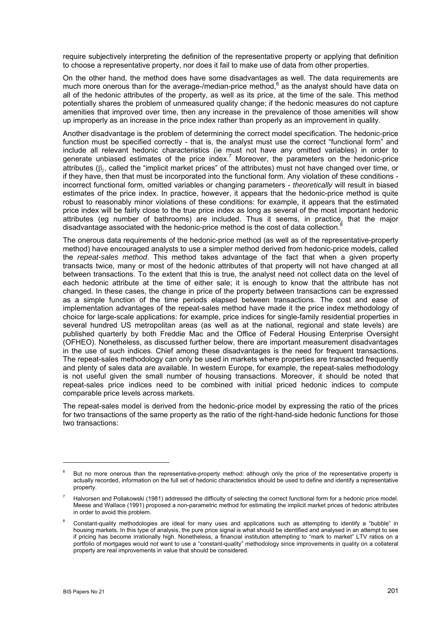require subjectively interpreting the definition of the representative property or applying that definition to choose a representative property, nor does it fail to make use of data from other properties.

On the other hand, the method does have some disadvantages as well. The data requirements are much more onerous than for the average-/median-price method, $<sup>6</sup>$  as the analyst should have data on</sup> all of the hedonic attributes of the property, as well as its price, at the time of the sale. This method potentially shares the problem of unmeasured quality change; if the hedonic measures do not capture amenities that improved over time, then any increase in the prevalence of those amenities will show up improperly as an increase in the price index rather than properly as an improvement in quality.

Another disadvantage is the problem of determining the correct model specification. The hedonic-price function must be specified correctly - that is, the analyst must use the correct "functional form" and include all relevant hedonic characteristics (ie must not have any omitted variables) in order to generate unbiased estimates of the price index.<sup>7</sup> Moreover, the parameters on the hedonic-price attributes (β*j*, called the "implicit market prices" of the attributes) must not have changed over time, or if they have, then that must be incorporated into the functional form. Any violation of these conditions incorrect functional form, omitted variables or changing parameters - *theoretically* will result in biased estimates of the price index. In practice, however, it appears that the hedonic-price method is quite robust to reasonably minor violations of these conditions: for example, it appears that the estimated price index will be fairly close to the true price index as long as several of the most important hedonic attributes (eg number of bathrooms) are included. Thus it seems, in practice, that the major disadvantage associated with the hedonic-price method is the cost of data collection.<sup>8</sup>

The onerous data requirements of the hedonic-price method (as well as of the representative-property method) have encouraged analysts to use a simpler method derived from hedonic-price models, called the *repeat-sales method*. This method takes advantage of the fact that when a given property transacts twice, many or most of the hedonic attributes of that property will not have changed at all between transactions. To the extent that this is true, the analyst need not collect data on the level of each hedonic attribute at the time of either sale; it is enough to know that the attribute has not changed. In these cases, the change in price of the property between transactions can be expressed as a simple function of the time periods elapsed between transactions. The cost and ease of implementation advantages of the repeat-sales method have made it the price index methodology of choice for large-scale applications: for example, price indices for single-family residential properties in several hundred US metropolitan areas (as well as at the national, regional and state levels) are published quarterly by both Freddie Mac and the Office of Federal Housing Enterprise Oversight (OFHEO). Nonetheless, as discussed further below, there are important measurement disadvantages in the use of such indices. Chief among these disadvantages is the need for frequent transactions. The repeat-sales methodology can only be used in markets where properties are transacted frequently and plenty of sales data are available. In western Europe, for example, the repeat-sales methodology is not useful given the small number of housing transactions. Moreover, it should be noted that repeat-sales price indices need to be combined with initial priced hedonic indices to compute comparable price levels across markets.

The repeat-sales model is derived from the hedonic-price model by expressing the ratio of the prices for two transactions of the same property as the ratio of the right-hand-side hedonic functions for those two transactions:

<sup>6</sup> But no more onerous than the representative-property method: although only the price of the representative property is actually recorded, information on the full set of hedonic characteristics should be used to define and identify a representative property.

<sup>7</sup> Halvorsen and Pollakowski (1981) addressed the difficulty of selecting the correct functional form for a hedonic price model. Meese and Wallace (1991) proposed a non-parametric method for estimating the implicit market prices of hedonic attributes in order to avoid this problem.

<sup>8</sup> Constant-quality methodologies are ideal for many uses and applications such as attempting to identify a "bubble" in housing markets. In this type of analysis, the pure price signal is what should be identified and analysed in an attempt to see if pricing has become irrationally high. Nonetheless, a financial institution attempting to "mark to market" LTV ratios on a portfolio of mortgages would not want to use a "constant-quality" methodology since improvements in quality on a collateral property are real improvements in value that should be considered.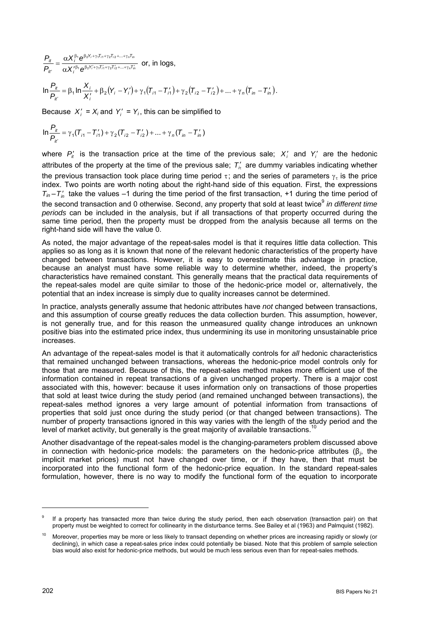*i i i n in i i i n in*  $Y_j^{\beta_1} e^{\beta_2 Y'_i + \gamma_1 T'_{i1} + \gamma_2 T'_{i2} + ... + \gamma_n T}$  $\beta_1 \theta_2 Y_i + \gamma_1 T_{i1} + \gamma_2 T_{i2} + ... + \gamma_n T_i$ *it it*  $X^{\prime\,\beta_4}_i$ e  $X_i^{\beta_1}$ e *P P*  $\beta_1 \sum_{i} \beta_2 Y_i' + \gamma_1 T_{i1}' + \gamma_2 T_{i2}' + ... + \gamma_n T_n'$  $β_1 \nightharpoonup β_2 Y_i + γ_1 T_{i1} + γ_2 T_{i2} + ... + γ$  $\frac{\partial}{\partial t} = \frac{\alpha X_i^{\beta_1}e^{\beta_2 Y_i + \gamma_1 T_{i1} + \gamma_2 T_{i2} + ...}}{\alpha X_i^{\prime \beta_1}e^{\beta_2 Y_i^{\prime} + \gamma_1 T_{i1}^{\prime} + \gamma_2 T_{i2}^{\prime} + ...}}$ 1  $\Delta$ P2  $(i+1+i+1+i+2+i)$  $\frac{1}{16}e^{p_2 t_i + r_1 t_i + r_2 t_i + r_3 t_m}$  or, in logs,

$$
\ln \frac{P_{it}}{P_{it}} = \beta_1 \ln \frac{X_i}{X_i'} + \beta_2 (Y_i - Y_i') + \gamma_1 (T_{i1} - T_{i1}') + \gamma_2 (T_{i2} - T_{i2}') + ... + \gamma_n (T_{in} - T_{in}').
$$

Because  $X'_i = X_i$  and  $Y'_i = Y_i$ , this can be simplified to

$$
\ln \frac{P_{it}}{P_{it}} = \gamma_1 (T_{i1} - T_{i1}') + \gamma_2 (T_{i2} - T_{i2}') + ... + \gamma_n (T_{in} - T_{in}')
$$

where  $P'_{it}$  is the transaction price at the time of the previous sale;  $X'_{i}$  and  $Y'_{i}$  are the hedonic attributes of the property at the time of the previous sale; <sup>τ</sup> ′ *Ti* are dummy variables indicating whether the previous transaction took place during time period  $\tau$ ; and the series of parameters  $\gamma_{\tau}$  is the price index. Two points are worth noting about the right-hand side of this equation. First, the expressions  $T_{in} - T'_{in}$  take the values –1 during the time period of the first transaction, +1 during the time period of the second transaction and 0 otherwise. Second, any property that sold at least twice<sup>9</sup> in different time *periods* can be included in the analysis, but if all transactions of that property occurred during the same time period, then the property must be dropped from the analysis because all terms on the right-hand side will have the value 0.

As noted, the major advantage of the repeat-sales model is that it requires little data collection. This applies so as long as it is known that none of the relevant hedonic characteristics of the property have changed between transactions. However, it is easy to overestimate this advantage in practice, because an analyst must have some reliable way to determine whether, indeed, the property's characteristics have remained constant. This generally means that the practical data requirements of the repeat-sales model are quite similar to those of the hedonic-price model or, alternatively, the potential that an index increase is simply due to quality increases cannot be determined.

In practice, analysts generally assume that hedonic attributes have *not* changed between transactions, and this assumption of course greatly reduces the data collection burden. This assumption, however, is not generally true, and for this reason the unmeasured quality change introduces an unknown positive bias into the estimated price index, thus undermining its use in monitoring unsustainable price increases.

An advantage of the repeat-sales model is that it automatically controls for *all* hedonic characteristics that remained unchanged between transactions, whereas the hedonic-price model controls only for those that are measured. Because of this, the repeat-sales method makes more efficient use of the information contained in repeat transactions of a given unchanged property. There is a major cost associated with this, however: because it uses information only on transactions of those properties that sold at least twice during the study period (and remained unchanged between transactions), the repeat-sales method ignores a very large amount of potential information from transactions of properties that sold just once during the study period (or that changed between transactions). The number of property transactions ignored in this way varies with the length of the study period and the level of market activity, but generally is the great majority of available transactions.<sup>10</sup>

Another disadvantage of the repeat-sales model is the changing-parameters problem discussed above in connection with hedonic-price models: the parameters on the hedonic-price attributes ( $\beta_j$ , the implicit market prices) must not have changed over time, or if they have, then that must be incorporated into the functional form of the hedonic-price equation. In the standard repeat-sales formulation, however, there is no way to modify the functional form of the equation to incorporate

<sup>9</sup> If a property has transacted more than twice during the study period, then each observation (transaction pair) on that property must be weighted to correct for collinearity in the disturbance terms. See Bailey et al (1963) and Palmquist (1982).

<sup>10</sup> Moreover, properties may be more or less likely to transact depending on whether prices are increasing rapidly or slowly (or declining), in which case a repeat-sales price index could potentially be biased. Note that this problem of sample selection bias would also exist for hedonic-price methods, but would be much less serious even than for repeat-sales methods.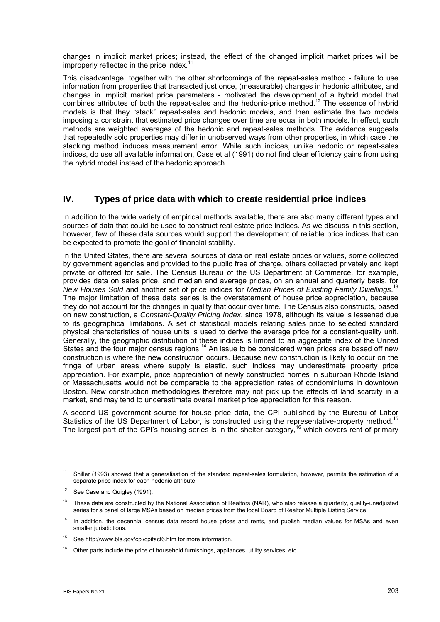changes in implicit market prices; instead, the effect of the changed implicit market prices will be improperly reflected in the price index.<sup>11</sup>

This disadvantage, together with the other shortcomings of the repeat-sales method - failure to use information from properties that transacted just once, (measurable) changes in hedonic attributes, and changes in implicit market price parameters - motivated the development of a hybrid model that combines attributes of both the repeat-sales and the hedonic-price method.<sup>12</sup> The essence of hybrid models is that they "stack" repeat-sales and hedonic models, and then estimate the two models imposing a constraint that estimated price changes over time are equal in both models. In effect, such methods are weighted averages of the hedonic and repeat-sales methods. The evidence suggests that repeatedly sold properties may differ in unobserved ways from other properties, in which case the stacking method induces measurement error. While such indices, unlike hedonic or repeat-sales indices, do use all available information, Case et al (1991) do not find clear efficiency gains from using the hybrid model instead of the hedonic approach.

#### **IV. Types of price data with which to create residential price indices**

In addition to the wide variety of empirical methods available, there are also many different types and sources of data that could be used to construct real estate price indices. As we discuss in this section, however, few of these data sources would support the development of reliable price indices that can be expected to promote the goal of financial stability.

In the United States, there are several sources of data on real estate prices or values, some collected by government agencies and provided to the public free of charge, others collected privately and kept private or offered for sale. The Census Bureau of the US Department of Commerce, for example, provides data on sales price, and median and average prices, on an annual and quarterly basis, for *New Houses Sold* and another set of price indices for *Median Prices of Existing Family Dwellings*. 13 The major limitation of these data series is the overstatement of house price appreciation, because they do not account for the changes in quality that occur over time. The Census also constructs, based on new construction, a *Constant-Quality Pricing Index*, since 1978, although its value is lessened due to its geographical limitations. A set of statistical models relating sales price to selected standard physical characteristics of house units is used to derive the average price for a constant-quality unit. Generally, the geographic distribution of these indices is limited to an aggregate index of the United States and the four major census regions.<sup>14</sup> An issue to be considered when prices are based off new construction is where the new construction occurs. Because new construction is likely to occur on the fringe of urban areas where supply is elastic, such indices may underestimate property price appreciation. For example, price appreciation of newly constructed homes in suburban Rhode Island or Massachusetts would not be comparable to the appreciation rates of condominiums in downtown Boston. New construction methodologies therefore may not pick up the effects of land scarcity in a market, and may tend to underestimate overall market price appreciation for this reason.

A second US government source for house price data, the CPI published by the Bureau of Labor Statistics of the US Department of Labor, is constructed using the representative-property method.<sup>15</sup> The largest part of the CPI's housing series is in the shelter category,<sup>16</sup> which covers rent of primary

<sup>&</sup>lt;sup>11</sup> Shiller (1993) showed that a generalisation of the standard repeat-sales formulation, however, permits the estimation of a separate price index for each hedonic attribute.

 $12$  See Case and Quigley (1991).

<sup>&</sup>lt;sup>13</sup> These data are constructed by the National Association of Realtors (NAR), who also release a quarterly, quality-unadjusted series for a panel of large MSAs based on median prices from the local Board of Realtor Multiple Listing Service.

<sup>&</sup>lt;sup>14</sup> In addition, the decennial census data record house prices and rents, and publish median values for MSAs and even smaller jurisdictions.

<sup>15</sup> See http://www.bls.gov/cpi/cpifact6.htm for more information.

 $16$  Other parts include the price of household furnishings, appliances, utility services, etc.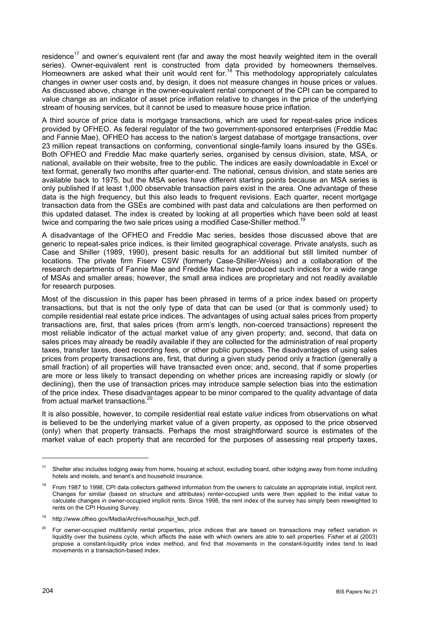residence<sup>17</sup> and owner's equivalent rent (far and away the most heavily weighted item in the overall series). Owner-equivalent rent is constructed from data provided by homeowners themselves. Homeowners are asked what their unit would rent for.<sup>18</sup> This methodology appropriately calculates changes in owner user costs and, by design, it does not measure changes in house prices or values. As discussed above, change in the owner-equivalent rental component of the CPI can be compared to value change as an indicator of asset price inflation relative to changes in the price of the underlying stream of housing services, but it cannot be used to measure house price inflation.

A third source of price data is mortgage transactions, which are used for repeat-sales price indices provided by OFHEO. As federal regulator of the two government-sponsored enterprises (Freddie Mac and Fannie Mae), OFHEO has access to the nation's largest database of mortgage transactions, over 23 million repeat transactions on conforming, conventional single-family loans insured by the GSEs. Both OFHEO and Freddie Mac make quarterly series, organised by census division, state, MSA, or national, available on their website, free to the public. The indices are easily downloadable in Excel or text format, generally two months after quarter-end. The national, census division, and state series are available back to 1975, but the MSA series have different starting points because an MSA series is only published if at least 1,000 observable transaction pairs exist in the area. One advantage of these data is the high frequency, but this also leads to frequent revisions. Each quarter, recent mortgage transaction data from the GSEs are combined with past data and calculations are then performed on this updated dataset. The index is created by looking at all properties which have been sold at least twice and comparing the two sale prices using a modified Case-Shiller method.<sup>19</sup>

A disadvantage of the OFHEO and Freddie Mac series, besides those discussed above that are generic to repeat-sales price indices, is their limited geographical coverage. Private analysts, such as Case and Shiller (1989, 1990), present basic results for an additional but still limited number of locations. The private firm Fiserv CSW (formerly Case-Shiller-Weiss) and a collaboration of the research departments of Fannie Mae and Freddie Mac have produced such indices for a wide range of MSAs and smaller areas; however, the small area indices are proprietary and not readily available for research purposes.

Most of the discussion in this paper has been phrased in terms of a price index based on property transactions, but that is not the only type of data that can be used (or that is commonly used) to compile residential real estate price indices. The advantages of using actual sales prices from property transactions are, first, that sales prices (from arm's length, non-coerced transactions) represent the most reliable indicator of the actual market value of any given property; and, second, that data on sales prices may already be readily available if they are collected for the administration of real property taxes, transfer taxes, deed recording fees, or other public purposes. The disadvantages of using sales prices from property transactions are, first, that during a given study period only a fraction (generally a small fraction) of all properties will have transacted even once; and, second, that if some properties are more or less likely to transact depending on whether prices are increasing rapidly or slowly (or declining), then the use of transaction prices may introduce sample selection bias into the estimation of the price index. These disadvantages appear to be minor compared to the quality advantage of data from actual market transactions.<sup>20</sup>

It is also possible, however, to compile residential real estate *value* indices from observations on what is believed to be the underlying market value of a given property, as opposed to the price observed (only) when that property transacts. Perhaps the most straightforward source is estimates of the market value of each property that are recorded for the purposes of assessing real property taxes,

<sup>&</sup>lt;sup>17</sup> Shelter also includes lodging away from home, housing at school, excluding board, other lodging away from home including hotels and motels, and tenant's and household insurance.

<sup>18</sup> From 1987 to 1998, CPI data collectors gathered information from the owners to calculate an appropriate initial, implicit rent. Changes for similar (based on structure and attributes) renter-occupied units were then applied to the initial value to calculate changes in owner-occupied implicit rents. Since 1998, the rent index of the survey has simply been reweighted to rents on the CPI Housing Survey.

<sup>19</sup> http://www.ofheo.gov/Media/Archive/house/hpi\_tech.pdf.

<sup>&</sup>lt;sup>20</sup> For owner-occupied multifamily rental properties, price indices that are based on transactions may reflect variation in liquidity over the business cycle, which affects the ease with which owners are able to sell properties. Fisher et al (2003) propose a constant-liquidity price index method, and find that movements in the constant-liquidity index tend to lead movements in a transaction-based index.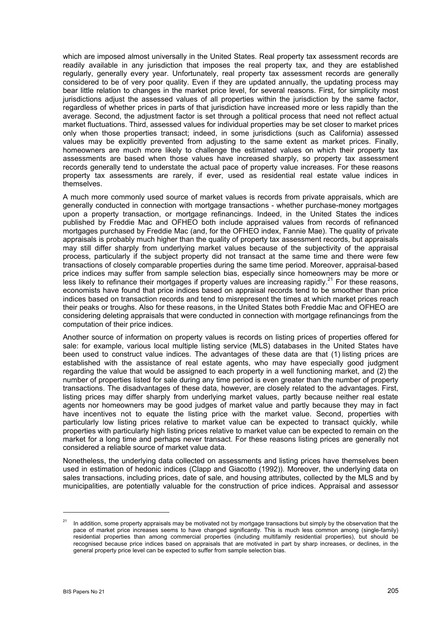which are imposed almost universally in the United States. Real property tax assessment records are readily available in any jurisdiction that imposes the real property tax, and they are established regularly, generally every year. Unfortunately, real property tax assessment records are generally considered to be of very poor quality. Even if they are updated annually, the updating process may bear little relation to changes in the market price level, for several reasons. First, for simplicity most jurisdictions adjust the assessed values of all properties within the jurisdiction by the same factor, regardless of whether prices in parts of that jurisdiction have increased more or less rapidly than the average. Second, the adjustment factor is set through a political process that need not reflect actual market fluctuations. Third, assessed values for individual properties may be set closer to market prices only when those properties transact; indeed, in some jurisdictions (such as California) assessed values may be explicitly prevented from adjusting to the same extent as market prices. Finally, homeowners are much more likely to challenge the estimated values on which their property tax assessments are based when those values have increased sharply, so property tax assessment records generally tend to understate the actual pace of property value increases. For these reasons property tax assessments are rarely, if ever, used as residential real estate value indices in themselves.

A much more commonly used source of market values is records from private appraisals, which are generally conducted in connection with mortgage transactions - whether purchase-money mortgages upon a property transaction, or mortgage refinancings. Indeed, in the United States the indices published by Freddie Mac and OFHEO both include appraised values from records of refinanced mortgages purchased by Freddie Mac (and, for the OFHEO index, Fannie Mae). The quality of private appraisals is probably much higher than the quality of property tax assessment records, but appraisals may still differ sharply from underlying market values because of the subjectivity of the appraisal process, particularly if the subject property did not transact at the same time and there were few transactions of closely comparable properties during the same time period. Moreover, appraisal-based price indices may suffer from sample selection bias, especially since homeowners may be more or less likely to refinance their mortgages if property values are increasing rapidly.<sup>21</sup> For these reasons, economists have found that price indices based on appraisal records tend to be smoother than price indices based on transaction records and tend to misrepresent the times at which market prices reach their peaks or troughs. Also for these reasons, in the United States both Freddie Mac and OFHEO are considering deleting appraisals that were conducted in connection with mortgage refinancings from the computation of their price indices.

Another source of information on property values is records on listing prices of properties offered for sale: for example, various local multiple listing service (MLS) databases in the United States have been used to construct value indices. The advantages of these data are that (1) listing prices are established with the assistance of real estate agents, who may have especially good judgment regarding the value that would be assigned to each property in a well functioning market, and (2) the number of properties listed for sale during any time period is even greater than the number of property transactions. The disadvantages of these data, however, are closely related to the advantages. First, listing prices may differ sharply from underlying market values, partly because neither real estate agents nor homeowners may be good judges of market value and partly because they may in fact have incentives not to equate the listing price with the market value. Second, properties with particularly low listing prices relative to market value can be expected to transact quickly, while properties with particularly high listing prices relative to market value can be expected to remain on the market for a long time and perhaps never transact. For these reasons listing prices are generally not considered a reliable source of market value data.

Nonetheless, the underlying data collected on assessments and listing prices have themselves been used in estimation of hedonic indices (Clapp and Giacotto (1992)). Moreover, the underlying data on sales transactions, including prices, date of sale, and housing attributes, collected by the MLS and by municipalities, are potentially valuable for the construction of price indices. Appraisal and assessor

<sup>&</sup>lt;sup>21</sup> In addition, some property appraisals may be motivated not by mortgage transactions but simply by the observation that the pace of market price increases seems to have changed significantly. This is much less common among (single-family) residential properties than among commercial properties (including multifamily residential properties), but should be recognised because price indices based on appraisals that are motivated in part by sharp increases, or declines, in the general property price level can be expected to suffer from sample selection bias.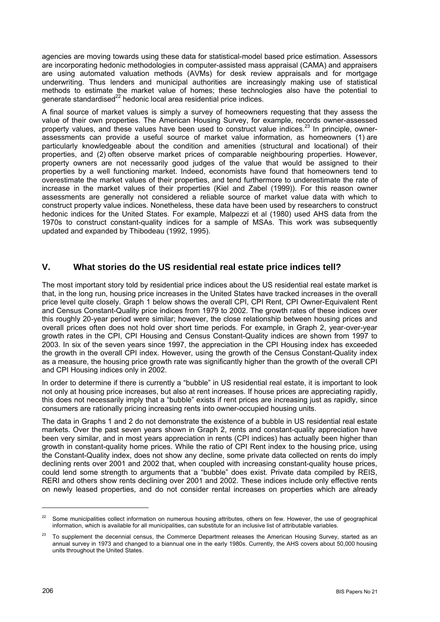agencies are moving towards using these data for statistical-model based price estimation. Assessors are incorporating hedonic methodologies in computer-assisted mass appraisal (CAMA) and appraisers are using automated valuation methods (AVMs) for desk review appraisals and for mortgage underwriting. Thus lenders and municipal authorities are increasingly making use of statistical methods to estimate the market value of homes; these technologies also have the potential to generate standardised $^{22}$  hedonic local area residential price indices.

A final source of market values is simply a survey of homeowners requesting that they assess the value of their own properties. The American Housing Survey, for example, records owner-assessed property values, and these values have been used to construct value indices.<sup>23</sup> In principle, ownerassessments can provide a useful source of market value information, as homeowners (1) are particularly knowledgeable about the condition and amenities (structural and locational) of their properties, and (2) often observe market prices of comparable neighbouring properties. However, property owners are not necessarily good judges of the value that would be assigned to their properties by a well functioning market. Indeed, economists have found that homeowners tend to overestimate the market values of their properties, and tend furthermore to underestimate the rate of increase in the market values of their properties (Kiel and Zabel (1999)). For this reason owner assessments are generally not considered a reliable source of market value data with which to construct property value indices. Nonetheless, these data have been used by researchers to construct hedonic indices for the United States. For example, Malpezzi et al (1980) used AHS data from the 1970s to construct constant-quality indices for a sample of MSAs. This work was subsequently updated and expanded by Thibodeau (1992, 1995).

#### **V. What stories do the US residential real estate price indices tell?**

The most important story told by residential price indices about the US residential real estate market is that, in the long run, housing price increases in the United States have tracked increases in the overall price level quite closely. Graph 1 below shows the overall CPI, CPI Rent, CPI Owner-Equivalent Rent and Census Constant-Quality price indices from 1979 to 2002. The growth rates of these indices over this roughly 20-year period were similar; however, the close relationship between housing prices and overall prices often does not hold over short time periods. For example, in Graph 2, year-over-year growth rates in the CPI, CPI Housing and Census Constant-Quality indices are shown from 1997 to 2003. In six of the seven years since 1997, the appreciation in the CPI Housing index has exceeded the growth in the overall CPI index. However, using the growth of the Census Constant-Quality index as a measure, the housing price growth rate was significantly higher than the growth of the overall CPI and CPI Housing indices only in 2002.

In order to determine if there is currently a "bubble" in US residential real estate, it is important to look not only at housing price increases, but also at rent increases. If house prices are appreciating rapidly, this does not necessarily imply that a "bubble" exists if rent prices are increasing just as rapidly, since consumers are rationally pricing increasing rents into owner-occupied housing units.

The data in Graphs 1 and 2 do not demonstrate the existence of a bubble in US residential real estate markets. Over the past seven years shown in Graph 2, rents and constant-quality appreciation have been very similar, and in most years appreciation in rents (CPI indices) has actually been higher than growth in constant-quality home prices. While the ratio of CPI Rent index to the housing price, using the Constant-Quality index, does not show any decline, some private data collected on rents do imply declining rents over 2001 and 2002 that, when coupled with increasing constant-quality house prices, could lend some strength to arguments that a "bubble" does exist. Private data compiled by REIS, RERI and others show rents declining over 2001 and 2002. These indices include only effective rents on newly leased properties, and do not consider rental increases on properties which are already

<sup>22</sup> Some municipalities collect information on numerous housing attributes, others on few. However, the use of geographical information, which is available for all municipalities, can substitute for an inclusive list of attributable variables.

To supplement the decennial census, the Commerce Department releases the American Housing Survey, started as an annual survey in 1973 and changed to a biannual one in the early 1980s. Currently, the AHS covers about 50,000 housing units throughout the United States.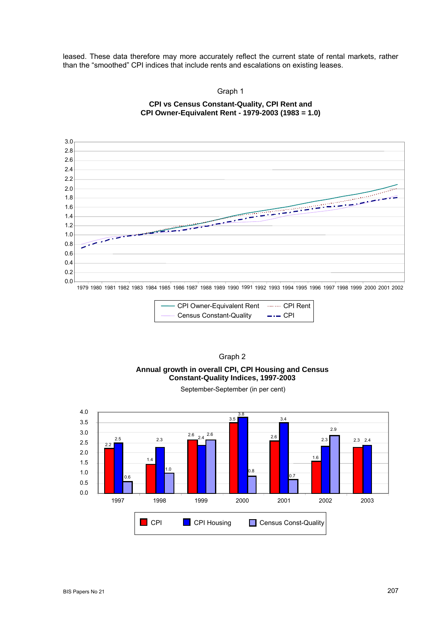leased. These data therefore may more accurately reflect the current state of rental markets, rather than the "smoothed" CPI indices that include rents and escalations on existing leases.

> Graph 1 **CPI vs Census Constant-Quality, CPI Rent and**

**CPI Owner-Equivalent Rent - 1979-2003 (1983 = 1.0)** 







BIS Papers No 21 207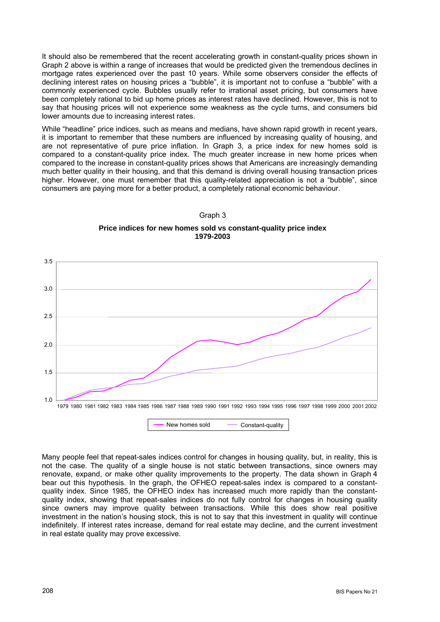It should also be remembered that the recent accelerating growth in constant-quality prices shown in Graph 2 above is within a range of increases that would be predicted given the tremendous declines in mortgage rates experienced over the past 10 years. While some observers consider the effects of declining interest rates on housing prices a "bubble", it is important not to confuse a "bubble" with a commonly experienced cycle. Bubbles usually refer to irrational asset pricing, but consumers have been completely rational to bid up home prices as interest rates have declined. However, this is not to say that housing prices will not experience some weakness as the cycle turns, and consumers bid lower amounts due to increasing interest rates.

While "headline" price indices, such as means and medians, have shown rapid growth in recent years, it is important to remember that these numbers are influenced by increasing quality of housing, and are not representative of pure price inflation. In Graph 3, a price index for new homes sold is compared to a constant-quality price index. The much greater increase in new home prices when compared to the increase in constant-quality prices shows that Americans are increasingly demanding much better quality in their housing, and that this demand is driving overall housing transaction prices higher. However, one must remember that this quality-related appreciation is not a "bubble", since consumers are paying more for a better product, a completely rational economic behaviour.

#### Graph 3

**Price indices for new homes sold vs constant-quality price index 1979-2003**



Many people feel that repeat-sales indices control for changes in housing quality, but, in reality, this is not the case. The quality of a single house is not static between transactions, since owners may renovate, expand, or make other quality improvements to the property. The data shown in Graph 4 bear out this hypothesis. In the graph, the OFHEO repeat-sales index is compared to a constantquality index. Since 1985, the OFHEO index has increased much more rapidly than the constantquality index, showing that repeat-sales indices do not fully control for changes in housing quality since owners may improve quality between transactions. While this does show real positive investment in the nation's housing stock, this is not to say that this investment in quality will continue indefinitely. If interest rates increase, demand for real estate may decline, and the current investment in real estate quality may prove excessive.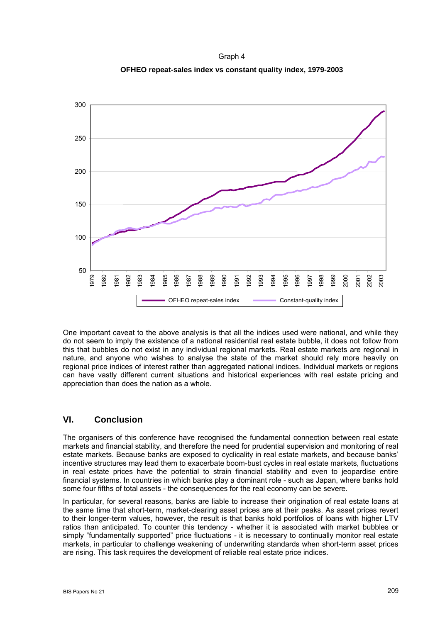Graph 4 **OFHEO repeat-sales index vs constant quality index, 1979-2003** 



One important caveat to the above analysis is that all the indices used were national, and while they do not seem to imply the existence of a national residential real estate bubble, it does not follow from this that bubbles do not exist in any individual regional markets. Real estate markets are regional in nature, and anyone who wishes to analyse the state of the market should rely more heavily on regional price indices of interest rather than aggregated national indices. Individual markets or regions can have vastly different current situations and historical experiences with real estate pricing and appreciation than does the nation as a whole.

## **VI. Conclusion**

The organisers of this conference have recognised the fundamental connection between real estate markets and financial stability, and therefore the need for prudential supervision and monitoring of real estate markets. Because banks are exposed to cyclicality in real estate markets, and because banks' incentive structures may lead them to exacerbate boom-bust cycles in real estate markets, fluctuations in real estate prices have the potential to strain financial stability and even to jeopardise entire financial systems. In countries in which banks play a dominant role - such as Japan, where banks hold some four fifths of total assets - the consequences for the real economy can be severe.

In particular, for several reasons, banks are liable to increase their origination of real estate loans at the same time that short-term, market-clearing asset prices are at their peaks. As asset prices revert to their longer-term values, however, the result is that banks hold portfolios of loans with higher LTV ratios than anticipated. To counter this tendency - whether it is associated with market bubbles or simply "fundamentally supported" price fluctuations - it is necessary to continually monitor real estate markets, in particular to challenge weakening of underwriting standards when short-term asset prices are rising. This task requires the development of reliable real estate price indices.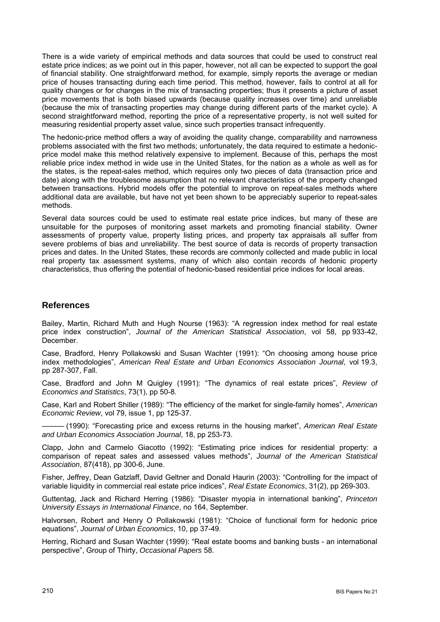There is a wide variety of empirical methods and data sources that could be used to construct real estate price indices; as we point out in this paper, however, not all can be expected to support the goal of financial stability. One straightforward method, for example, simply reports the average or median price of houses transacting during each time period. This method, however, fails to control at all for quality changes or for changes in the mix of transacting properties; thus it presents a picture of asset price movements that is both biased upwards (because quality increases over time) and unreliable (because the mix of transacting properties may change during different parts of the market cycle). A second straightforward method, reporting the price of a representative property, is not well suited for measuring residential property asset value, since such properties transact infrequently.

The hedonic-price method offers a way of avoiding the quality change, comparability and narrowness problems associated with the first two methods; unfortunately, the data required to estimate a hedonicprice model make this method relatively expensive to implement. Because of this, perhaps the most reliable price index method in wide use in the United States, for the nation as a whole as well as for the states, is the repeat-sales method, which requires only two pieces of data (transaction price and date) along with the troublesome assumption that no relevant characteristics of the property changed between transactions. Hybrid models offer the potential to improve on repeat-sales methods where additional data are available, but have not yet been shown to be appreciably superior to repeat-sales methods.

Several data sources could be used to estimate real estate price indices, but many of these are unsuitable for the purposes of monitoring asset markets and promoting financial stability. Owner assessments of property value, property listing prices, and property tax appraisals all suffer from severe problems of bias and unreliability. The best source of data is records of property transaction prices and dates. In the United States, these records are commonly collected and made public in local real property tax assessment systems, many of which also contain records of hedonic property characteristics, thus offering the potential of hedonic-based residential price indices for local areas.

#### **References**

Bailey, Martin, Richard Muth and Hugh Nourse (1963): "A regression index method for real estate price index construction", *Journal of the American Statistical Association*, vol 58, pp 933-42, December.

Case, Bradford, Henry Pollakowski and Susan Wachter (1991): "On choosing among house price index methodologies", *American Real Estate and Urban Economics Association Journal*, vol 19.3, pp 287-307, Fall.

Case, Bradford and John M Quigley (1991): "The dynamics of real estate prices", *Review of Economics and Statistics*, 73(1), pp 50-8.

Case, Karl and Robert Shiller (1989): "The efficiency of the market for single-family homes", *American Economic Review*, vol 79, issue 1, pp 125-37.

——— (1990): "Forecasting price and excess returns in the housing market", *American Real Estate and Urban Economics Association Journal*, 18, pp 253-73.

Clapp, John and Carmelo Giacotto (1992): "Estimating price indices for residential property: a comparison of repeat sales and assessed values methods", *Journal of the American Statistical Association*, 87(418), pp 300-6, June.

Fisher, Jeffrey, Dean Gatzlaff, David Geltner and Donald Haurin (2003): "Controlling for the impact of variable liquidity in commercial real estate price indices", *Real Estate Economics*, 31(2), pp 269-303.

Guttentag, Jack and Richard Herring (1986): "Disaster myopia in international banking", *Princeton University Essays in International Finance*, no 164, September.

Halvorsen, Robert and Henry O Pollakowski (1981): "Choice of functional form for hedonic price equations", *Journal of Urban Economics*, 10, pp 37-49.

Herring, Richard and Susan Wachter (1999): "Real estate booms and banking busts - an international perspective", Group of Thirty, *Occasional Papers* 58.